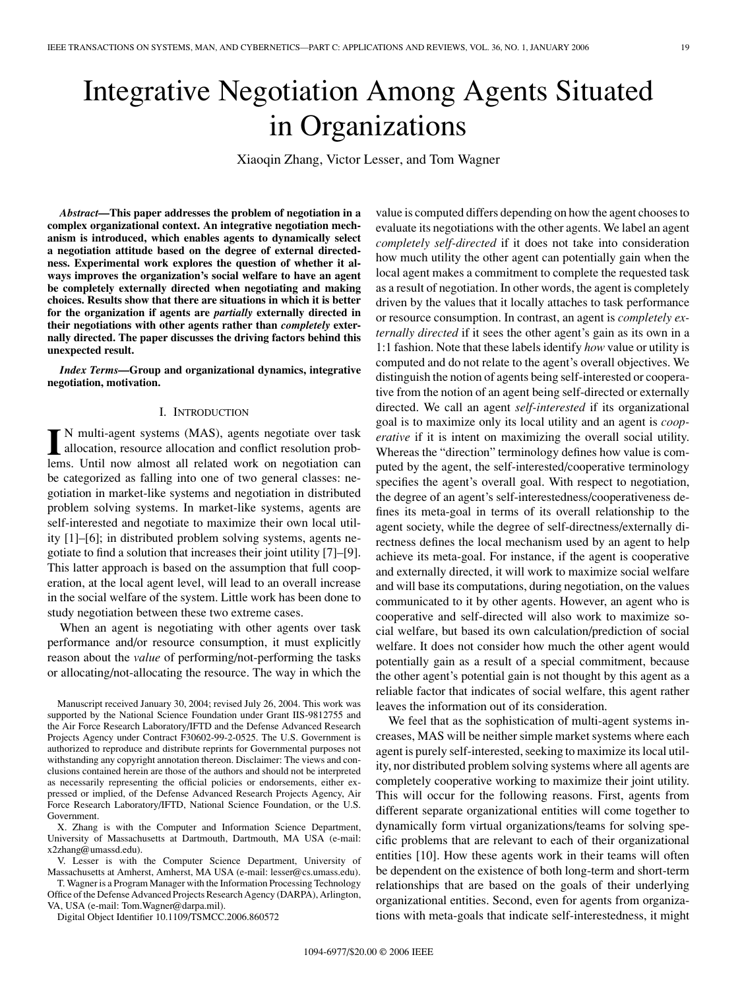# Integrative Negotiation Among Agents Situated in Organizations

Xiaoqin Zhang, Victor Lesser, and Tom Wagner

*Abstract***—This paper addresses the problem of negotiation in a complex organizational context. An integrative negotiation mechanism is introduced, which enables agents to dynamically select a negotiation attitude based on the degree of external directedness. Experimental work explores the question of whether it always improves the organization's social welfare to have an agent be completely externally directed when negotiating and making choices. Results show that there are situations in which it is better for the organization if agents are** *partially* **externally directed in their negotiations with other agents rather than** *completely* **externally directed. The paper discusses the driving factors behind this unexpected result.**

*Index Terms***—Group and organizational dynamics, integrative negotiation, motivation.**

## I. INTRODUCTION

In multi-agent systems (MAS), agents negotiate over task<br>allocation, resource allocation and conflict resolution prob-<br>lems. Until now almost all related work on negotiation con-N multi-agent systems (MAS), agents negotiate over task lems. Until now almost all related work on negotiation can be categorized as falling into one of two general classes: negotiation in market-like systems and negotiation in distributed problem solving systems. In market-like systems, agents are self-interested and negotiate to maximize their own local utility [1]–[6]; in distributed problem solving systems, agents negotiate to find a solution that increases their joint utility [7]–[9]. This latter approach is based on the assumption that full cooperation, at the local agent level, will lead to an overall increase in the social welfare of the system. Little work has been done to study negotiation between these two extreme cases.

When an agent is negotiating with other agents over task performance and/or resource consumption, it must explicitly reason about the *value* of performing/not-performing the tasks or allocating/not-allocating the resource. The way in which the

Manuscript received January 30, 2004; revised July 26, 2004. This work was supported by the National Science Foundation under Grant IIS-9812755 and the Air Force Research Laboratory/IFTD and the Defense Advanced Research Projects Agency under Contract F30602-99-2-0525. The U.S. Government is authorized to reproduce and distribute reprints for Governmental purposes not withstanding any copyright annotation thereon. Disclaimer: The views and conclusions contained herein are those of the authors and should not be interpreted as necessarily representing the official policies or endorsements, either expressed or implied, of the Defense Advanced Research Projects Agency, Air Force Research Laboratory/IFTD, National Science Foundation, or the U.S. Government.

X. Zhang is with the Computer and Information Science Department, University of Massachusetts at Dartmouth, Dartmouth, MA USA (e-mail: x2zhang@umassd.edu).

V. Lesser is with the Computer Science Department, University of Massachusetts at Amherst, Amherst, MA USA (e-mail: lesser@cs.umass.edu).

T. Wagner is a Program Manager with the Information Processing Technology Office of the Defense Advanced Projects Research Agency (DARPA), Arlington, VA, USA (e-mail: Tom.Wagner@darpa.mil).

Digital Object Identifier 10.1109/TSMCC.2006.860572

value is computed differs depending on how the agent chooses to evaluate its negotiations with the other agents. We label an agent *completely self-directed* if it does not take into consideration how much utility the other agent can potentially gain when the local agent makes a commitment to complete the requested task as a result of negotiation. In other words, the agent is completely driven by the values that it locally attaches to task performance or resource consumption. In contrast, an agent is *completely externally directed* if it sees the other agent's gain as its own in a 1:1 fashion. Note that these labels identify *how* value or utility is computed and do not relate to the agent's overall objectives. We distinguish the notion of agents being self-interested or cooperative from the notion of an agent being self-directed or externally directed. We call an agent *self-interested* if its organizational goal is to maximize only its local utility and an agent is *cooperative* if it is intent on maximizing the overall social utility. Whereas the "direction" terminology defines how value is computed by the agent, the self-interested/cooperative terminology specifies the agent's overall goal. With respect to negotiation, the degree of an agent's self-interestedness/cooperativeness defines its meta-goal in terms of its overall relationship to the agent society, while the degree of self-directness/externally directness defines the local mechanism used by an agent to help achieve its meta-goal. For instance, if the agent is cooperative and externally directed, it will work to maximize social welfare and will base its computations, during negotiation, on the values communicated to it by other agents. However, an agent who is cooperative and self-directed will also work to maximize social welfare, but based its own calculation/prediction of social welfare. It does not consider how much the other agent would potentially gain as a result of a special commitment, because the other agent's potential gain is not thought by this agent as a reliable factor that indicates of social welfare, this agent rather leaves the information out of its consideration.

We feel that as the sophistication of multi-agent systems increases, MAS will be neither simple market systems where each agent is purely self-interested, seeking to maximize its local utility, nor distributed problem solving systems where all agents are completely cooperative working to maximize their joint utility. This will occur for the following reasons. First, agents from different separate organizational entities will come together to dynamically form virtual organizations/teams for solving specific problems that are relevant to each of their organizational entities [10]. How these agents work in their teams will often be dependent on the existence of both long-term and short-term relationships that are based on the goals of their underlying organizational entities. Second, even for agents from organizations with meta-goals that indicate self-interestedness, it might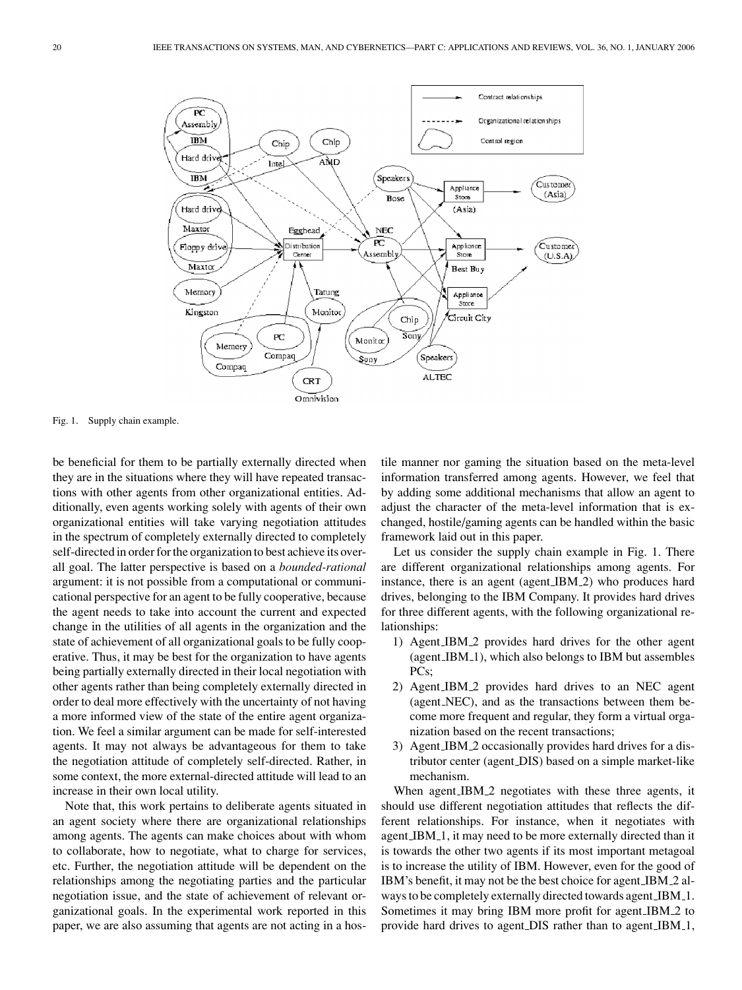

Fig. 1. Supply chain example.

be beneficial for them to be partially externally directed when they are in the situations where they will have repeated transactions with other agents from other organizational entities. Additionally, even agents working solely with agents of their own organizational entities will take varying negotiation attitudes in the spectrum of completely externally directed to completely self-directed in order for the organization to best achieve its overall goal. The latter perspective is based on a *bounded-rational* argument: it is not possible from a computational or communicational perspective for an agent to be fully cooperative, because the agent needs to take into account the current and expected change in the utilities of all agents in the organization and the state of achievement of all organizational goals to be fully cooperative. Thus, it may be best for the organization to have agents being partially externally directed in their local negotiation with other agents rather than being completely externally directed in order to deal more effectively with the uncertainty of not having a more informed view of the state of the entire agent organization. We feel a similar argument can be made for self-interested agents. It may not always be advantageous for them to take the negotiation attitude of completely self-directed. Rather, in some context, the more external-directed attitude will lead to an increase in their own local utility.

Note that, this work pertains to deliberate agents situated in an agent society where there are organizational relationships among agents. The agents can make choices about with whom to collaborate, how to negotiate, what to charge for services, etc. Further, the negotiation attitude will be dependent on the relationships among the negotiating parties and the particular negotiation issue, and the state of achievement of relevant organizational goals. In the experimental work reported in this paper, we are also assuming that agents are not acting in a hostile manner nor gaming the situation based on the meta-level information transferred among agents. However, we feel that by adding some additional mechanisms that allow an agent to adjust the character of the meta-level information that is exchanged, hostile/gaming agents can be handled within the basic framework laid out in this paper.

Let us consider the supply chain example in Fig. 1. There are different organizational relationships among agents. For instance, there is an agent (agent IBM 2) who produces hard drives, belonging to the IBM Company. It provides hard drives for three different agents, with the following organizational relationships:

- 1) Agent IBM 2 provides hard drives for the other agent (agent\_IBM\_1), which also belongs to IBM but assembles PCs;
- 2) Agent IBM 2 provides hard drives to an NEC agent (agent NEC), and as the transactions between them become more frequent and regular, they form a virtual organization based on the recent transactions;
- 3) Agent IBM 2 occasionally provides hard drives for a distributor center (agent DIS) based on a simple market-like mechanism.

When agent\_IBM\_2 negotiates with these three agents, it should use different negotiation attitudes that reflects the different relationships. For instance, when it negotiates with agent IBM 1, it may need to be more externally directed than it is towards the other two agents if its most important metagoal is to increase the utility of IBM. However, even for the good of IBM's benefit, it may not be the best choice for agent IBM 2 always to be completely externally directed towards agent IBM 1. Sometimes it may bring IBM more profit for agent IBM 2 to provide hard drives to agent DIS rather than to agent IBM 1,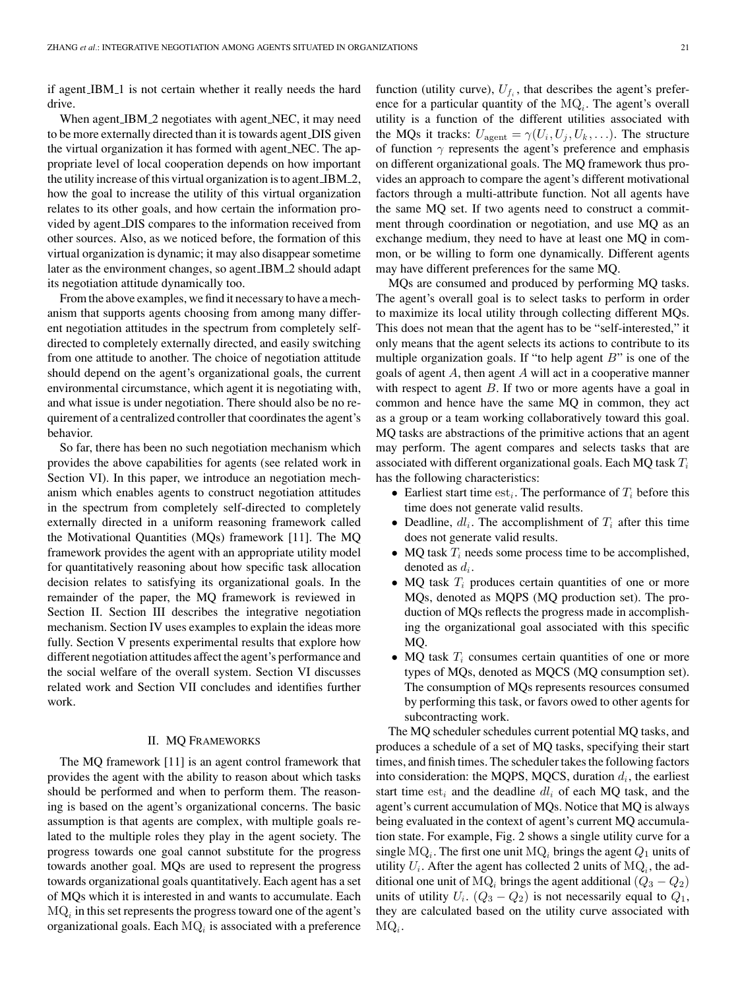if agent IBM 1 is not certain whether it really needs the hard drive.

When agent IBM 2 negotiates with agent NEC, it may need to be more externally directed than it is towards agent DIS given the virtual organization it has formed with agent NEC. The appropriate level of local cooperation depends on how important the utility increase of this virtual organization is to agent IBM 2, how the goal to increase the utility of this virtual organization relates to its other goals, and how certain the information provided by agent DIS compares to the information received from other sources. Also, as we noticed before, the formation of this virtual organization is dynamic; it may also disappear sometime later as the environment changes, so agent IBM 2 should adapt its negotiation attitude dynamically too.

From the above examples, we find it necessary to have a mechanism that supports agents choosing from among many different negotiation attitudes in the spectrum from completely selfdirected to completely externally directed, and easily switching from one attitude to another. The choice of negotiation attitude should depend on the agent's organizational goals, the current environmental circumstance, which agent it is negotiating with, and what issue is under negotiation. There should also be no requirement of a centralized controller that coordinates the agent's behavior.

So far, there has been no such negotiation mechanism which provides the above capabilities for agents (see related work in Section VI). In this paper, we introduce an negotiation mechanism which enables agents to construct negotiation attitudes in the spectrum from completely self-directed to completely externally directed in a uniform reasoning framework called the Motivational Quantities (MQs) framework [11]. The MQ framework provides the agent with an appropriate utility model for quantitatively reasoning about how specific task allocation decision relates to satisfying its organizational goals. In the remainder of the paper, the MQ framework is reviewed in Section II. Section III describes the integrative negotiation mechanism. Section IV uses examples to explain the ideas more fully. Section V presents experimental results that explore how different negotiation attitudes affect the agent's performance and the social welfare of the overall system. Section VI discusses related work and Section VII concludes and identifies further work.

## II. MQ FRAMEWORKS

The MQ framework [11] is an agent control framework that provides the agent with the ability to reason about which tasks should be performed and when to perform them. The reasoning is based on the agent's organizational concerns. The basic assumption is that agents are complex, with multiple goals related to the multiple roles they play in the agent society. The progress towards one goal cannot substitute for the progress towards another goal. MQs are used to represent the progress towards organizational goals quantitatively. Each agent has a set of MQs which it is interested in and wants to accumulate. Each  $MQ<sub>i</sub>$  in this set represents the progress toward one of the agent's organizational goals. Each  $MQ<sub>i</sub>$  is associated with a preference function (utility curve),  $U_{f_i}$ , that describes the agent's preference for a particular quantity of the  $MQ<sub>i</sub>$ . The agent's overall utility is a function of the different utilities associated with the MQs it tracks:  $U_{\text{agent}} = \gamma(U_i, U_j, U_k, \ldots)$ . The structure of function  $\gamma$  represents the agent's preference and emphasis on different organizational goals. The MQ framework thus provides an approach to compare the agent's different motivational factors through a multi-attribute function. Not all agents have the same MQ set. If two agents need to construct a commitment through coordination or negotiation, and use MQ as an exchange medium, they need to have at least one MQ in common, or be willing to form one dynamically. Different agents may have different preferences for the same MQ.

MQs are consumed and produced by performing MQ tasks. The agent's overall goal is to select tasks to perform in order to maximize its local utility through collecting different MQs. This does not mean that the agent has to be "self-interested," it only means that the agent selects its actions to contribute to its multiple organization goals. If "to help agent  $B$ " is one of the goals of agent A, then agent A will act in a cooperative manner with respect to agent  $B$ . If two or more agents have a goal in common and hence have the same MQ in common, they act as a group or a team working collaboratively toward this goal. MQ tasks are abstractions of the primitive actions that an agent may perform. The agent compares and selects tasks that are associated with different organizational goals. Each MQ task  $T_i$ has the following characteristics:

- Earliest start time  $est_i$ . The performance of  $T_i$  before this time does not generate valid results.
- Deadline,  $dl_i$ . The accomplishment of  $T_i$  after this time does not generate valid results.
- MQ task  $T_i$  needs some process time to be accomplished, denoted as  $d_i$ .
- MQ task  $T_i$  produces certain quantities of one or more MQs, denoted as MQPS (MQ production set). The production of MQs reflects the progress made in accomplishing the organizational goal associated with this specific MQ.
- MQ task  $T_i$  consumes certain quantities of one or more types of MQs, denoted as MQCS (MQ consumption set). The consumption of MQs represents resources consumed by performing this task, or favors owed to other agents for subcontracting work.

The MQ scheduler schedules current potential MQ tasks, and produces a schedule of a set of MQ tasks, specifying their start times, and finish times. The scheduler takes the following factors into consideration: the MQPS, MQCS, duration  $d_i$ , the earliest start time  $est_i$  and the deadline  $dl_i$  of each MQ task, and the agent's current accumulation of MQs. Notice that MQ is always being evaluated in the context of agent's current MQ accumulation state. For example, Fig. 2 shows a single utility curve for a single  $MQ_i$ . The first one unit  $MQ_i$  brings the agent  $Q_1$  units of utility  $U_i$ . After the agent has collected 2 units of  $MQ_i$ , the additional one unit of MQ<sub>i</sub> brings the agent additional  $(Q_3 - Q_2)$ units of utility  $U_i$ .  $(Q_3 - Q_2)$  is not necessarily equal to  $Q_1$ , they are calculated based on the utility curve associated with  $MQ_i$ .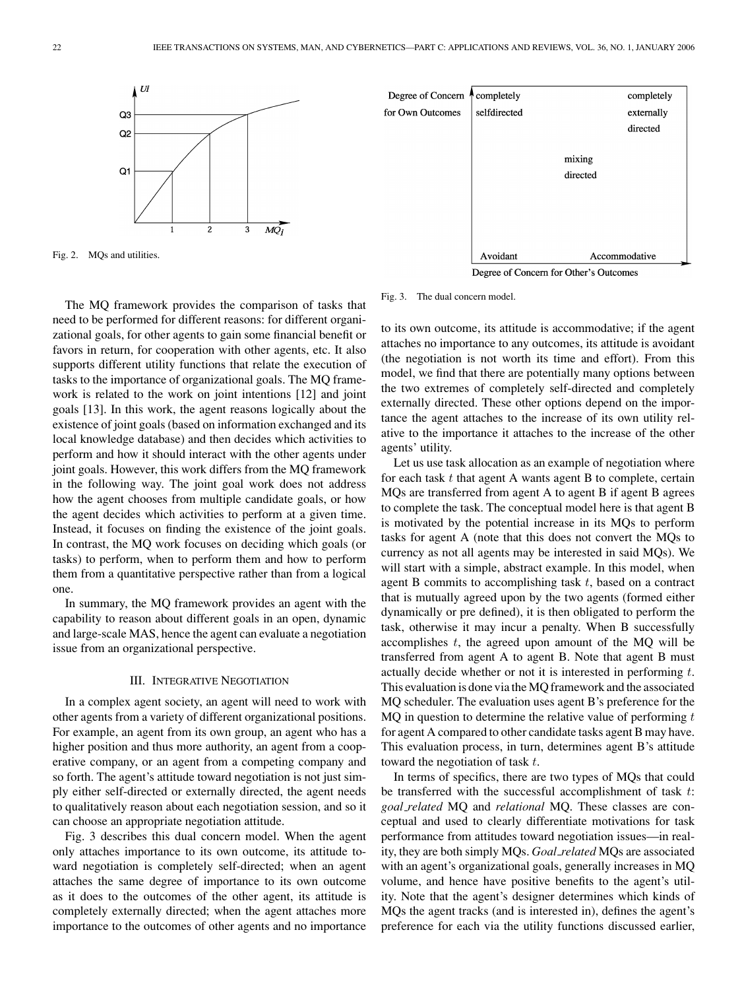

Degree of Concern completely completely for Own Outcomes selfdirected externally directed mixing directed Avoidant Accommodative

Degree of Concern for Other's Outcomes

Fig. 2. MQs and utilities.

The MQ framework provides the comparison of tasks that need to be performed for different reasons: for different organizational goals, for other agents to gain some financial benefit or favors in return, for cooperation with other agents, etc. It also supports different utility functions that relate the execution of tasks to the importance of organizational goals. The MQ framework is related to the work on joint intentions [12] and joint goals [13]. In this work, the agent reasons logically about the existence of joint goals (based on information exchanged and its local knowledge database) and then decides which activities to perform and how it should interact with the other agents under joint goals. However, this work differs from the MQ framework in the following way. The joint goal work does not address how the agent chooses from multiple candidate goals, or how the agent decides which activities to perform at a given time. Instead, it focuses on finding the existence of the joint goals. In contrast, the MQ work focuses on deciding which goals (or tasks) to perform, when to perform them and how to perform them from a quantitative perspective rather than from a logical one.

In summary, the MQ framework provides an agent with the capability to reason about different goals in an open, dynamic and large-scale MAS, hence the agent can evaluate a negotiation issue from an organizational perspective.

## III. INTEGRATIVE NEGOTIATION

In a complex agent society, an agent will need to work with other agents from a variety of different organizational positions. For example, an agent from its own group, an agent who has a higher position and thus more authority, an agent from a cooperative company, or an agent from a competing company and so forth. The agent's attitude toward negotiation is not just simply either self-directed or externally directed, the agent needs to qualitatively reason about each negotiation session, and so it can choose an appropriate negotiation attitude.

Fig. 3 describes this dual concern model. When the agent only attaches importance to its own outcome, its attitude toward negotiation is completely self-directed; when an agent attaches the same degree of importance to its own outcome as it does to the outcomes of the other agent, its attitude is completely externally directed; when the agent attaches more importance to the outcomes of other agents and no importance

#### Fig. 3. The dual concern model.

to its own outcome, its attitude is accommodative; if the agent attaches no importance to any outcomes, its attitude is avoidant (the negotiation is not worth its time and effort). From this model, we find that there are potentially many options between the two extremes of completely self-directed and completely externally directed. These other options depend on the importance the agent attaches to the increase of its own utility relative to the importance it attaches to the increase of the other agents' utility.

Let us use task allocation as an example of negotiation where for each task  $t$  that agent A wants agent B to complete, certain MQs are transferred from agent A to agent B if agent B agrees to complete the task. The conceptual model here is that agent B is motivated by the potential increase in its MQs to perform tasks for agent A (note that this does not convert the MQs to currency as not all agents may be interested in said MQs). We will start with a simple, abstract example. In this model, when agent B commits to accomplishing task  $t$ , based on a contract that is mutually agreed upon by the two agents (formed either dynamically or pre defined), it is then obligated to perform the task, otherwise it may incur a penalty. When B successfully accomplishes  $t$ , the agreed upon amount of the MQ will be transferred from agent A to agent B. Note that agent B must actually decide whether or not it is interested in performing t. This evaluation is done via the MQ framework and the associated MQ scheduler. The evaluation uses agent B's preference for the  $MQ$  in question to determine the relative value of performing  $t$ for agent A compared to other candidate tasks agent B may have. This evaluation process, in turn, determines agent B's attitude toward the negotiation of task t.

In terms of specifics, there are two types of MQs that could be transferred with the successful accomplishment of task t: *goal related* MQ and *relational* MQ. These classes are conceptual and used to clearly differentiate motivations for task performance from attitudes toward negotiation issues—in reality, they are both simply MQs. *Goal related* MQs are associated with an agent's organizational goals, generally increases in MQ volume, and hence have positive benefits to the agent's utility. Note that the agent's designer determines which kinds of MQs the agent tracks (and is interested in), defines the agent's preference for each via the utility functions discussed earlier,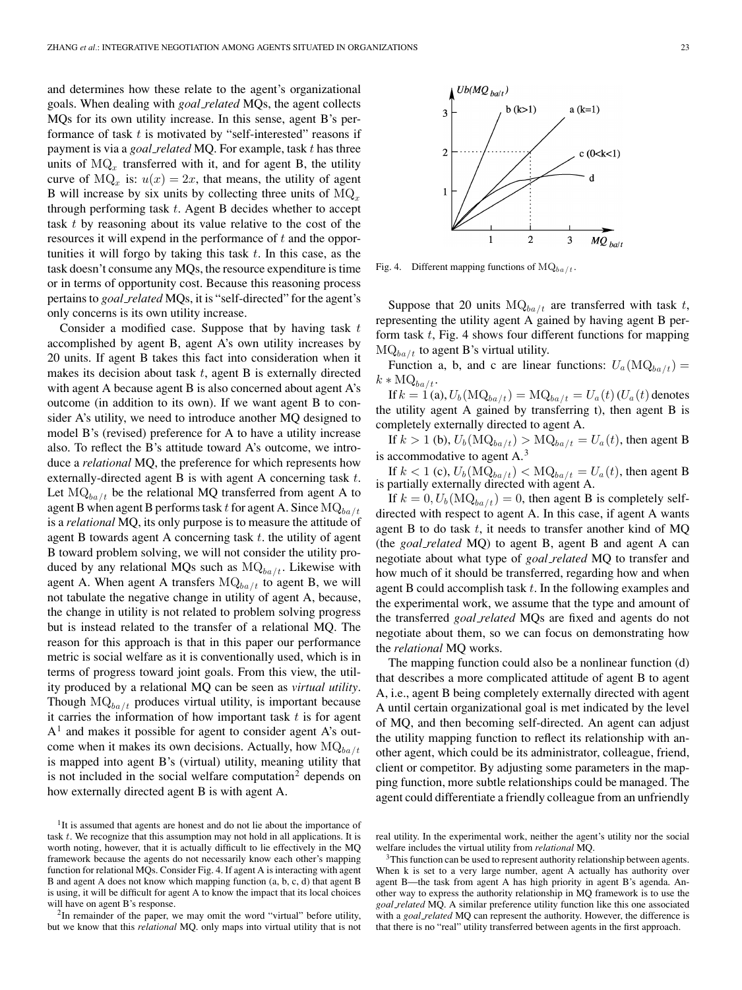and determines how these relate to the agent's organizational goals. When dealing with *goal related* MQs, the agent collects MQs for its own utility increase. In this sense, agent B's performance of task  $t$  is motivated by "self-interested" reasons if payment is via a *goal related* MQ. For example, task t has three units of  $MQ_x$  transferred with it, and for agent B, the utility curve of MQ<sub>x</sub> is:  $u(x)=2x$ , that means, the utility of agent B will increase by six units by collecting three units of  $MQ<sub>x</sub>$ through performing task  $t$ . Agent B decides whether to accept task t by reasoning about its value relative to the cost of the resources it will expend in the performance of t and the opportunities it will forgo by taking this task  $t$ . In this case, as the task doesn't consume any MQs, the resource expenditure is time or in terms of opportunity cost. Because this reasoning process pertains to *goal related* MQs, it is "self-directed" for the agent's only concerns is its own utility increase.

Consider a modified case. Suppose that by having task  $t$ accomplished by agent B, agent A's own utility increases by 20 units. If agent B takes this fact into consideration when it makes its decision about task  $t$ , agent  $B$  is externally directed with agent A because agent B is also concerned about agent A's outcome (in addition to its own). If we want agent B to consider A's utility, we need to introduce another MQ designed to model B's (revised) preference for A to have a utility increase also. To reflect the B's attitude toward A's outcome, we introduce a *relational* MQ, the preference for which represents how externally-directed agent B is with agent A concerning task t. Let  $MQ<sub>ba/t</sub>$  be the relational MQ transferred from agent A to agent B when agent B performs task t for agent A. Since  $MQ_{ba/t}$ is a *relational* MQ, its only purpose is to measure the attitude of agent B towards agent A concerning task  $t$ , the utility of agent B toward problem solving, we will not consider the utility produced by any relational MQs such as  $MQ_{ba/t}$ . Likewise with agent A. When agent A transfers  $MQ_{ba/t}$  to agent B, we will not tabulate the negative change in utility of agent A, because, the change in utility is not related to problem solving progress but is instead related to the transfer of a relational MQ. The reason for this approach is that in this paper our performance metric is social welfare as it is conventionally used, which is in terms of progress toward joint goals. From this view, the utility produced by a relational MQ can be seen as *virtual utility*. Though  $MQ_{ba/t}$  produces virtual utility, is important because it carries the information of how important task  $t$  is for agent  $A<sup>1</sup>$  and makes it possible for agent to consider agent A's outcome when it makes its own decisions. Actually, how  $MQ_{ba/t}$ is mapped into agent B's (virtual) utility, meaning utility that is not included in the social welfare computation<sup>2</sup> depends on how externally directed agent B is with agent A.

<sup>1</sup>It is assumed that agents are honest and do not lie about the importance of task  $t$ . We recognize that this assumption may not hold in all applications. It is worth noting, however, that it is actually difficult to lie effectively in the MQ framework because the agents do not necessarily know each other's mapping function for relational MQs. Consider Fig. 4. If agent A is interacting with agent B and agent A does not know which mapping function (a, b, c, d) that agent B is using, it will be difficult for agent A to know the impact that its local choices

will have on agent B's response.<br><sup>2</sup>In remainder of the paper, we may omit the word "virtual" before utility, but we know that this *relational* MQ. only maps into virtual utility that is not

Fig. 4. Different mapping functions of  $MQ_{ba/t}$ .

Suppose that 20 units  $MQ_{ba/t}$  are transferred with task t, representing the utility agent A gained by having agent B perform task  $t$ , Fig. 4 shows four different functions for mapping  $MQ_{ba/t}$  to agent B's virtual utility.

Function a, b, and c are linear functions:  $U_a(\text{MQ}_{ba/t}) =$  $k * MQ_{ba/t}.$ 

If  $k = 1$  (a),  $U_b(\text{MQ}_{ba/t}) = \text{MQ}_{ba/t} = U_a(t)(U_a(t))$  denotes the utility agent A gained by transferring t), then agent B is completely externally directed to agent A.

If  $k > 1$  (b),  $U_b(\text{MQ}_{ba/t}) > \text{MQ}_{ba/t} = U_a(t)$ , then agent B is accommodative to agent A.<sup>3</sup>

If  $k < 1$  (c),  $U_b(\text{MQ}_{ba/t}) < \text{MQ}_{ba/t} = U_a(t)$ , then agent B is partially externally directed with agent A.

If  $k = 0, U_b(MQ_{ba/t}) = 0$ , then agent B is completely selfdirected with respect to agent A. In this case, if agent A wants agent B to do task  $t$ , it needs to transfer another kind of MQ (the *goal related* MQ) to agent B, agent B and agent A can negotiate about what type of *goal related* MQ to transfer and how much of it should be transferred, regarding how and when agent B could accomplish task t. In the following examples and the experimental work, we assume that the type and amount of the transferred *goal related* MQs are fixed and agents do not negotiate about them, so we can focus on demonstrating how the *relational* MQ works.

The mapping function could also be a nonlinear function (d) that describes a more complicated attitude of agent B to agent A, i.e., agent B being completely externally directed with agent A until certain organizational goal is met indicated by the level of MQ, and then becoming self-directed. An agent can adjust the utility mapping function to reflect its relationship with another agent, which could be its administrator, colleague, friend, client or competitor. By adjusting some parameters in the mapping function, more subtle relationships could be managed. The agent could differentiate a friendly colleague from an unfriendly



real utility. In the experimental work, neither the agent's utility nor the social

welfare includes the virtual utility from *relational* MQ.<br><sup>3</sup>This function can be used to represent authority relationship between agents. When k is set to a very large number, agent A actually has authority over agent B—the task from agent A has high priority in agent B's agenda. Another way to express the authority relationship in MQ framework is to use the *goal related* MQ. A similar preference utility function like this one associated with a *goal related* MQ can represent the authority. However, the difference is that there is no "real" utility transferred between agents in the first approach.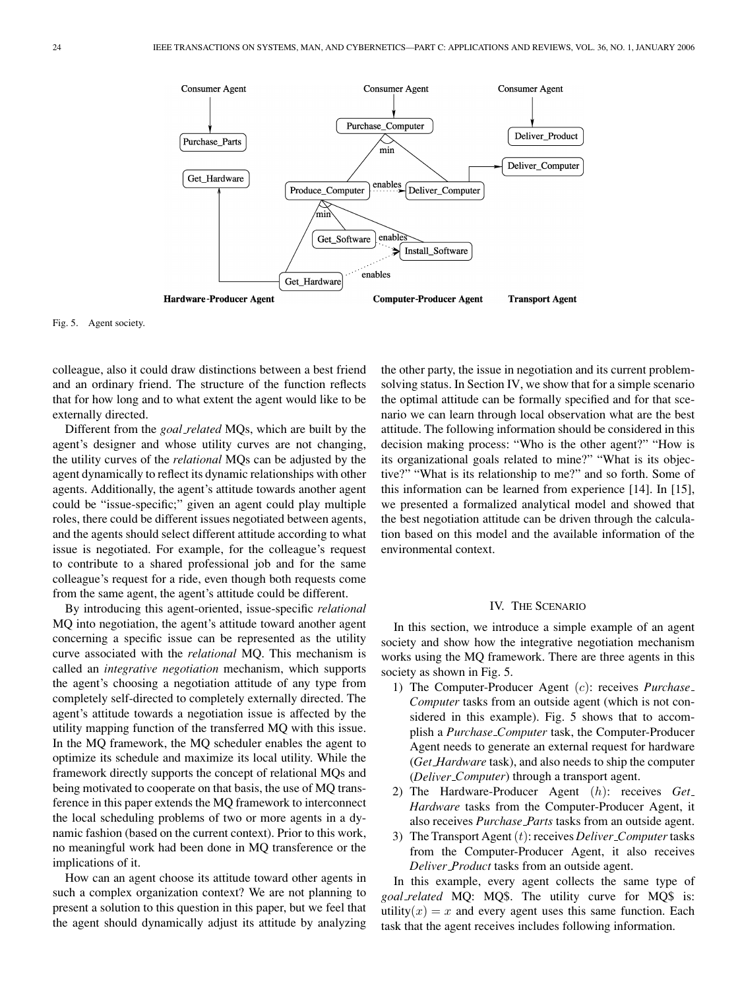

Fig. 5. Agent society.

colleague, also it could draw distinctions between a best friend and an ordinary friend. The structure of the function reflects that for how long and to what extent the agent would like to be externally directed.

Different from the *goal related* MQs, which are built by the agent's designer and whose utility curves are not changing, the utility curves of the *relational* MQs can be adjusted by the agent dynamically to reflect its dynamic relationships with other agents. Additionally, the agent's attitude towards another agent could be "issue-specific;" given an agent could play multiple roles, there could be different issues negotiated between agents, and the agents should select different attitude according to what issue is negotiated. For example, for the colleague's request to contribute to a shared professional job and for the same colleague's request for a ride, even though both requests come from the same agent, the agent's attitude could be different.

By introducing this agent-oriented, issue-specific *relational* MQ into negotiation, the agent's attitude toward another agent concerning a specific issue can be represented as the utility curve associated with the *relational* MQ. This mechanism is called an *integrative negotiation* mechanism, which supports the agent's choosing a negotiation attitude of any type from completely self-directed to completely externally directed. The agent's attitude towards a negotiation issue is affected by the utility mapping function of the transferred MQ with this issue. In the MQ framework, the MQ scheduler enables the agent to optimize its schedule and maximize its local utility. While the framework directly supports the concept of relational MQs and being motivated to cooperate on that basis, the use of MQ transference in this paper extends the MQ framework to interconnect the local scheduling problems of two or more agents in a dynamic fashion (based on the current context). Prior to this work, no meaningful work had been done in MQ transference or the implications of it.

How can an agent choose its attitude toward other agents in such a complex organization context? We are not planning to present a solution to this question in this paper, but we feel that the agent should dynamically adjust its attitude by analyzing

the other party, the issue in negotiation and its current problemsolving status. In Section IV, we show that for a simple scenario the optimal attitude can be formally specified and for that scenario we can learn through local observation what are the best attitude. The following information should be considered in this decision making process: "Who is the other agent?" "How is its organizational goals related to mine?" "What is its objective?" "What is its relationship to me?" and so forth. Some of this information can be learned from experience [14]. In [15], we presented a formalized analytical model and showed that the best negotiation attitude can be driven through the calculation based on this model and the available information of the environmental context.

# IV. THE SCENARIO

In this section, we introduce a simple example of an agent society and show how the integrative negotiation mechanism works using the MQ framework. There are three agents in this society as shown in Fig. 5.

- 1) The Computer-Producer Agent (c): receives *Purchase Computer* tasks from an outside agent (which is not considered in this example). Fig. 5 shows that to accomplish a *Purchase Computer* task, the Computer-Producer Agent needs to generate an external request for hardware (*Get Hardware* task), and also needs to ship the computer (*Deliver Computer*) through a transport agent.
- 2) The Hardware-Producer Agent (h): receives *Get Hardware* tasks from the Computer-Producer Agent, it also receives *Purchase Parts* tasks from an outside agent.
- 3) The Transport Agent(t): receives *Deliver Computer*tasks from the Computer-Producer Agent, it also receives *Deliver Product* tasks from an outside agent.

In this example, every agent collects the same type of *goal related* MQ: MQ\$. The utility curve for MQ\$ is: utility(x) = x and every agent uses this same function. Each task that the agent receives includes following information.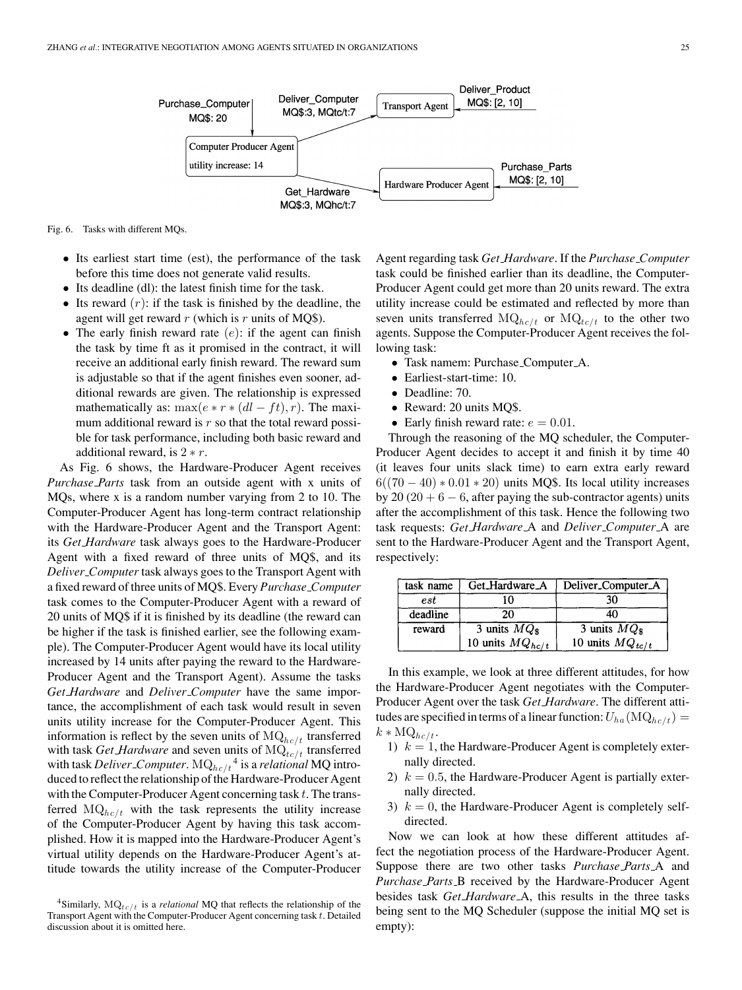

Fig. 6. Tasks with different MQs.

- Its earliest start time (est), the performance of the task before this time does not generate valid results.
- Its deadline (dl): the latest finish time for the task.
- Its reward  $(r)$ : if the task is finished by the deadline, the agent will get reward  $r$  (which is  $r$  units of MQ\$).
- The early finish reward rate  $(e)$ : if the agent can finish the task by time ft as it promised in the contract, it will receive an additional early finish reward. The reward sum is adjustable so that if the agent finishes even sooner, additional rewards are given. The relationship is expressed mathematically as: max $(e * r * (dl - ft), r)$ . The maximum additional reward is  $r$  so that the total reward possible for task performance, including both basic reward and additional reward, is  $2 * r$ .

As Fig. 6 shows, the Hardware-Producer Agent receives *Purchase Parts* task from an outside agent with x units of MQs, where x is a random number varying from 2 to 10. The Computer-Producer Agent has long-term contract relationship with the Hardware-Producer Agent and the Transport Agent: its *Get Hardware* task always goes to the Hardware-Producer Agent with a fixed reward of three units of MQ\$, and its *Deliver Computer* task always goes to the Transport Agent with a fixed reward of three units of MQ\$. Every *Purchase Computer* task comes to the Computer-Producer Agent with a reward of 20 units of MQ\$ if it is finished by its deadline (the reward can be higher if the task is finished earlier, see the following example). The Computer-Producer Agent would have its local utility increased by 14 units after paying the reward to the Hardware-Producer Agent and the Transport Agent). Assume the tasks *Get Hardware* and *Deliver Computer* have the same importance, the accomplishment of each task would result in seven units utility increase for the Computer-Producer Agent. This information is reflect by the seven units of  $MQ_{hc/t}$  transferred with task *Get Hardware* and seven units of  $MQ_{tc/t}$  transferred with task *Deliver\_Computer*.  $\mathrm{MQ}_{hc/t}^{-4}$  is a *relational* MQ introduced to reflect the relationship of the Hardware-Producer Agent with the Computer-Producer Agent concerning task  $t$ . The transferred  $MQ_{hc/t}$  with the task represents the utility increase of the Computer-Producer Agent by having this task accomplished. How it is mapped into the Hardware-Producer Agent's virtual utility depends on the Hardware-Producer Agent's attitude towards the utility increase of the Computer-Producer

Agent regarding task *Get Hardware*. If the *Purchase Computer* task could be finished earlier than its deadline, the Computer-Producer Agent could get more than 20 units reward. The extra utility increase could be estimated and reflected by more than seven units transferred  $MQ_{hc/t}$  or  $MQ_{tc/t}$  to the other two agents. Suppose the Computer-Producer Agent receives the following task:

- Task namem: Purchase Computer A.
- Earliest-start-time: 10.
- Deadline: 70.
- Reward: 20 units MQ\$.
- Early finish reward rate:  $e = 0.01$ .

Through the reasoning of the MQ scheduler, the Computer-Producer Agent decides to accept it and finish it by time 40 (it leaves four units slack time) to earn extra early reward  $6((70-40)*0.01*20)$  units MQ\$. Its local utility increases by 20 (20 + 6  $-$  6, after paying the sub-contractor agents) units after the accomplishment of this task. Hence the following two task requests: *Get Hardware* A and *Deliver Computer* A are sent to the Hardware-Producer Agent and the Transport Agent, respectively:

| task name | Get_Hardware_A                 | Deliver_Computer_A   |
|-----------|--------------------------------|----------------------|
| $_{est}$  |                                | 30                   |
| deadline  | 20                             |                      |
| reward    | $\overline{3}$ units $MQ_{\$}$ | 3 units $MQ_{\rm s}$ |
|           | 10 units $MQ_{hc/t}$           | 10 units $MQ_{tc/t}$ |

In this example, we look at three different attitudes, for how the Hardware-Producer Agent negotiates with the Computer-Producer Agent over the task *Get Hardware*. The different attitudes are specified in terms of a linear function:  $U_{ha}(\text{MQ}_{he/t}) =$  $k * \text{MQ}_{hc/t}.$ 

- 1)  $k = 1$ , the Hardware-Producer Agent is completely externally directed.
- 2)  $k = 0.5$ , the Hardware-Producer Agent is partially externally directed.
- 3)  $k = 0$ , the Hardware-Producer Agent is completely selfdirected.

Now we can look at how these different attitudes affect the negotiation process of the Hardware-Producer Agent. Suppose there are two other tasks *Purchase Parts* A and *Purchase Parts* B received by the Hardware-Producer Agent besides task *Get Hardware* A, this results in the three tasks being sent to the MQ Scheduler (suppose the initial MQ set is empty):

<sup>&</sup>lt;sup>4</sup>Similarly,  $MQ_{tc/t}$  is a *relational* MQ that reflects the relationship of the Transport Agent with the Computer-Producer Agent concerning task *t*. Detailed discussion about it is omitted here.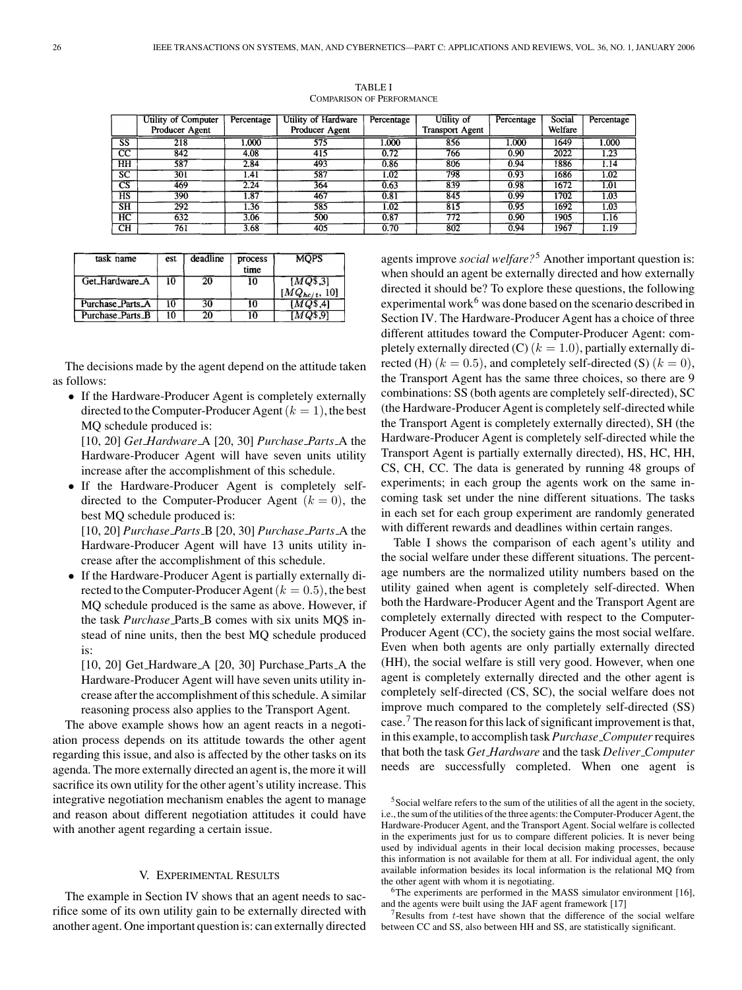|                        | Utility of Computer | Percentage        | Utility of Hardware | Percentage | Utility of             | Percentage | Social  | Percentage |
|------------------------|---------------------|-------------------|---------------------|------------|------------------------|------------|---------|------------|
|                        | Producer Agent      |                   | Producer Agent      |            | <b>Transport Agent</b> |            | Welfare |            |
| <b>SS</b>              | 218                 | 000.              | 575                 | 000.1      | 856                    | .000       | 1649    | 1.000      |
| $\overline{\text{cc}}$ | 842                 | 4.08              | 415                 | 0.72       | 766                    | 0.90       | 2022    | 1.23       |
| HH                     | 587                 | 2.84              | 493                 | 0.86       | 806                    | 0.94       | 1886    | 1.14       |
| SC                     | 301                 | 1.41              | 587                 | 1.02       | 798                    | 0.93       | 1686    | 1.02       |
| $\overline{\text{cs}}$ | 469                 | 2.24              | 364                 | 0.63       | 839                    | 0.98       | 1672    | 1.01       |
| HS                     | 390                 | $\overline{1.87}$ | 467                 | 0.81       | 845                    | 0.99       | 1702    | 1.03       |
| SH                     | 292                 | 1.36              | 585                 | 1.02       | 815                    | 0.95       | 1692    | 1.03       |
| нc                     | 632                 | 3.06              | 500                 | 0.87       | 772                    | 0.90       | 1905    | 1.16       |
| CH                     | 761                 | 3.68              | 405                 | 0.70       | 802                    | 0.94       | 1967    | 1.19       |

TABLE I COMPARISON OF PERFORMANCE

| task name        | est | deadline | process<br>time | <b>MOPS</b>                   |
|------------------|-----|----------|-----------------|-------------------------------|
| Get_Hardware_A   | 10  | 20       | 10              | [MQ\$,3]<br>$[MQ_{hc/t}, 10]$ |
| Purchase_Parts_A | 10  | 30       | 10              | [MO\$,4]                      |
| Purchase_Parts_B | 10  | 20       |                 |                               |

The decisions made by the agent depend on the attitude taken as follows:

• If the Hardware-Producer Agent is completely externally directed to the Computer-Producer Agent  $(k = 1)$ , the best MQ schedule produced is:

[10, 20] *Get Hardware* A [20, 30] *Purchase Parts* A the Hardware-Producer Agent will have seven units utility increase after the accomplishment of this schedule.

• If the Hardware-Producer Agent is completely selfdirected to the Computer-Producer Agent  $(k = 0)$ , the best MQ schedule produced is:

[10, 20] *Purchase Parts* B [20, 30] *Purchase Parts* A the Hardware-Producer Agent will have 13 units utility increase after the accomplishment of this schedule.

• If the Hardware-Producer Agent is partially externally directed to the Computer-Producer Agent ( $k = 0.5$ ), the best MQ schedule produced is the same as above. However, if the task *Purchase* Parts B comes with six units MQ\$ instead of nine units, then the best MQ schedule produced is:

[10, 20] Get\_Hardware\_A [20, 30] Purchase\_Parts\_A the Hardware-Producer Agent will have seven units utility increase after the accomplishment of this schedule. A similar reasoning process also applies to the Transport Agent.

The above example shows how an agent reacts in a negotiation process depends on its attitude towards the other agent regarding this issue, and also is affected by the other tasks on its agenda. The more externally directed an agent is, the more it will sacrifice its own utility for the other agent's utility increase. This integrative negotiation mechanism enables the agent to manage and reason about different negotiation attitudes it could have with another agent regarding a certain issue.

#### V. EXPERIMENTAL RESULTS

The example in Section IV shows that an agent needs to sacrifice some of its own utility gain to be externally directed with another agent. One important question is: can externally directed agents improve *social welfare?*<sup>5</sup> Another important question is: when should an agent be externally directed and how externally directed it should be? To explore these questions, the following experimental work<sup>6</sup> was done based on the scenario described in Section IV. The Hardware-Producer Agent has a choice of three different attitudes toward the Computer-Producer Agent: completely externally directed (C) ( $k = 1.0$ ), partially externally directed (H)  $(k = 0.5)$ , and completely self-directed (S)  $(k = 0)$ , the Transport Agent has the same three choices, so there are 9 combinations: SS (both agents are completely self-directed), SC (the Hardware-Producer Agent is completely self-directed while the Transport Agent is completely externally directed), SH (the Hardware-Producer Agent is completely self-directed while the Transport Agent is partially externally directed), HS, HC, HH, CS, CH, CC. The data is generated by running 48 groups of experiments; in each group the agents work on the same incoming task set under the nine different situations. The tasks in each set for each group experiment are randomly generated with different rewards and deadlines within certain ranges.

Table I shows the comparison of each agent's utility and the social welfare under these different situations. The percentage numbers are the normalized utility numbers based on the utility gained when agent is completely self-directed. When both the Hardware-Producer Agent and the Transport Agent are completely externally directed with respect to the Computer-Producer Agent (CC), the society gains the most social welfare. Even when both agents are only partially externally directed (HH), the social welfare is still very good. However, when one agent is completely externally directed and the other agent is completely self-directed (CS, SC), the social welfare does not improve much compared to the completely self-directed (SS) case.<sup>7</sup> The reason for this lack of significant improvement is that, in this example, to accomplish task *Purchase Computer*requires that both the task *Get Hardware* and the task *Deliver Computer* needs are successfully completed. When one agent is

 $6$ The experiments are performed in the MASS simulator environment [16], and the agents were built using the JAF agent framework [17]<br><sup>7</sup>Results from *t*-test have shown that the difference of the social welfare

between CC and SS, also between HH and SS, are statistically significant.

<sup>5</sup>Social welfare refers to the sum of the utilities of all the agent in the society, i.e., the sum of the utilities of the three agents: the Computer-Producer Agent, the Hardware-Producer Agent, and the Transport Agent. Social welfare is collected in the experiments just for us to compare different policies. It is never being used by individual agents in their local decision making processes, because this information is not available for them at all. For individual agent, the only available information besides its local information is the relational MQ from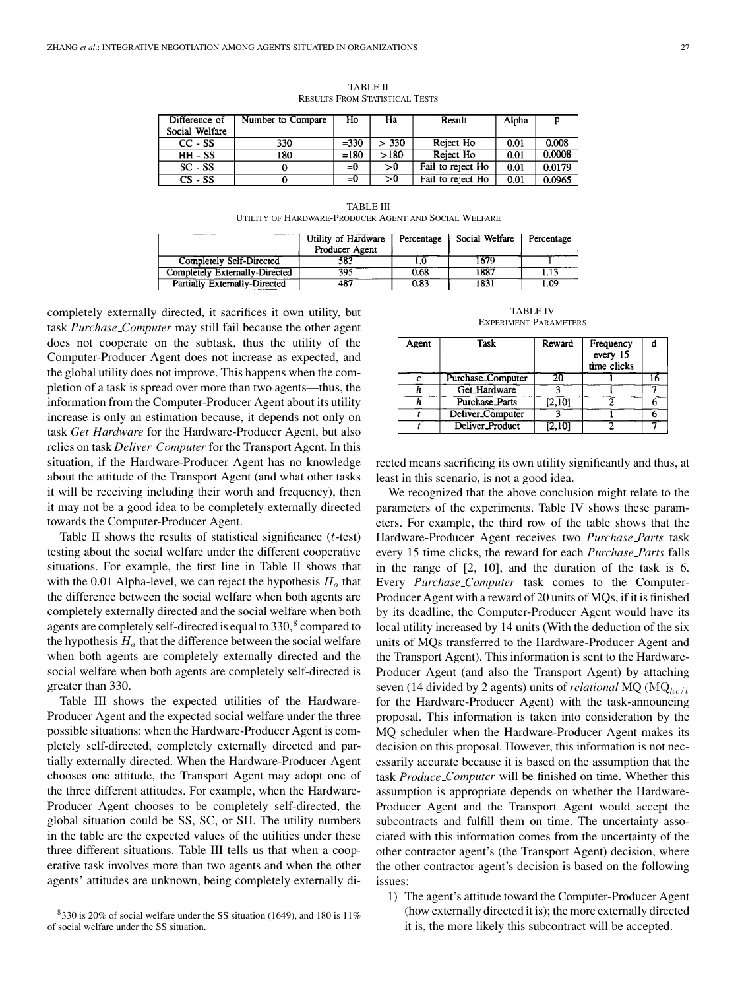| Difference of  | Number to Compare | Ho      | Ha   | Result            | Alpha |        |
|----------------|-------------------|---------|------|-------------------|-------|--------|
| Social Welfare |                   |         |      |                   |       |        |
| CC - SS        | 330               | $= 330$ | 330  | Reject Ho         | 0.01  | 0.008  |
| $HH - SS$      | 180               | $=180$  | >180 | Reject Ho         | 0.01  | 0.0008 |
| $SC - SS$      |                   | $= 0$   | >0   | Fail to reject Ho | 0.01  | 0.0179 |
| $CS - SS$      |                   | $=0$    | >0   | Fail to reject Ho | 0.01  | 0.0965 |

TABLE II RESULTS FROM STATISTICAL TESTS

TABLE III UTILITY OF HARDWARE-PRODUCER AGENT AND SOCIAL WELFARE

|                                | Utility of Hardware | Percentage | Social Welfare | Percentage |
|--------------------------------|---------------------|------------|----------------|------------|
|                                | Producer Agent      |            |                |            |
| Completely Self-Directed       | 583                 |            | 1679           |            |
| Completely Externally-Directed | 395                 | 0.68       | 1887           | 1.13       |
| Partially Externally-Directed  | 487                 | 0.83       | 1831           | l.O9       |

completely externally directed, it sacrifices it own utility, but task *Purchase Computer* may still fail because the other agent does not cooperate on the subtask, thus the utility of the Computer-Producer Agent does not increase as expected, and the global utility does not improve. This happens when the completion of a task is spread over more than two agents—thus, the information from the Computer-Producer Agent about its utility increase is only an estimation because, it depends not only on task *Get Hardware* for the Hardware-Producer Agent, but also relies on task *Deliver Computer* for the Transport Agent. In this situation, if the Hardware-Producer Agent has no knowledge about the attitude of the Transport Agent (and what other tasks it will be receiving including their worth and frequency), then it may not be a good idea to be completely externally directed towards the Computer-Producer Agent.

Table II shows the results of statistical significance  $(t$ -test) testing about the social welfare under the different cooperative situations. For example, the first line in Table II shows that with the 0.01 Alpha-level, we can reject the hypothesis  $H_0$  that the difference between the social welfare when both agents are completely externally directed and the social welfare when both agents are completely self-directed is equal to  $330<sup>8</sup>$  compared to the hypothesis  $H_a$  that the difference between the social welfare when both agents are completely externally directed and the social welfare when both agents are completely self-directed is greater than 330.

Table III shows the expected utilities of the Hardware-Producer Agent and the expected social welfare under the three possible situations: when the Hardware-Producer Agent is completely self-directed, completely externally directed and partially externally directed. When the Hardware-Producer Agent chooses one attitude, the Transport Agent may adopt one of the three different attitudes. For example, when the Hardware-Producer Agent chooses to be completely self-directed, the global situation could be SS, SC, or SH. The utility numbers in the table are the expected values of the utilities under these three different situations. Table III tells us that when a cooperative task involves more than two agents and when the other agents' attitudes are unknown, being completely externally di-

TABLE IV EXPERIMENT PARAMETERS

| Agent | Task                  | Reward | Frequency<br>every 15<br>time clicks |  |
|-------|-----------------------|--------|--------------------------------------|--|
|       | Purchase_Computer     | 20     |                                      |  |
|       | Get Hardware          |        |                                      |  |
|       | <b>Purchase Parts</b> | [2,10] |                                      |  |
|       | Deliver Computer      |        |                                      |  |
|       | Deliver_Product       | 12.101 |                                      |  |

rected means sacrificing its own utility significantly and thus, at least in this scenario, is not a good idea.

We recognized that the above conclusion might relate to the parameters of the experiments. Table IV shows these parameters. For example, the third row of the table shows that the Hardware-Producer Agent receives two *Purchase Parts* task every 15 time clicks, the reward for each *Purchase Parts* falls in the range of [2, 10], and the duration of the task is 6. Every *Purchase Computer* task comes to the Computer-Producer Agent with a reward of 20 units of MQs, if it is finished by its deadline, the Computer-Producer Agent would have its local utility increased by 14 units (With the deduction of the six units of MQs transferred to the Hardware-Producer Agent and the Transport Agent). This information is sent to the Hardware-Producer Agent (and also the Transport Agent) by attaching seven (14 divided by 2 agents) units of *relational* MQ ( $MQ<sub>hct</sub>$ ) for the Hardware-Producer Agent) with the task-announcing proposal. This information is taken into consideration by the MQ scheduler when the Hardware-Producer Agent makes its decision on this proposal. However, this information is not necessarily accurate because it is based on the assumption that the task *Produce Computer* will be finished on time. Whether this assumption is appropriate depends on whether the Hardware-Producer Agent and the Transport Agent would accept the subcontracts and fulfill them on time. The uncertainty associated with this information comes from the uncertainty of the other contractor agent's (the Transport Agent) decision, where the other contractor agent's decision is based on the following issues:

1) The agent's attitude toward the Computer-Producer Agent (how externally directed it is); the more externally directed it is, the more likely this subcontract will be accepted.

 $8330$  is 20% of social welfare under the SS situation (1649), and 180 is 11% of social welfare under the SS situation.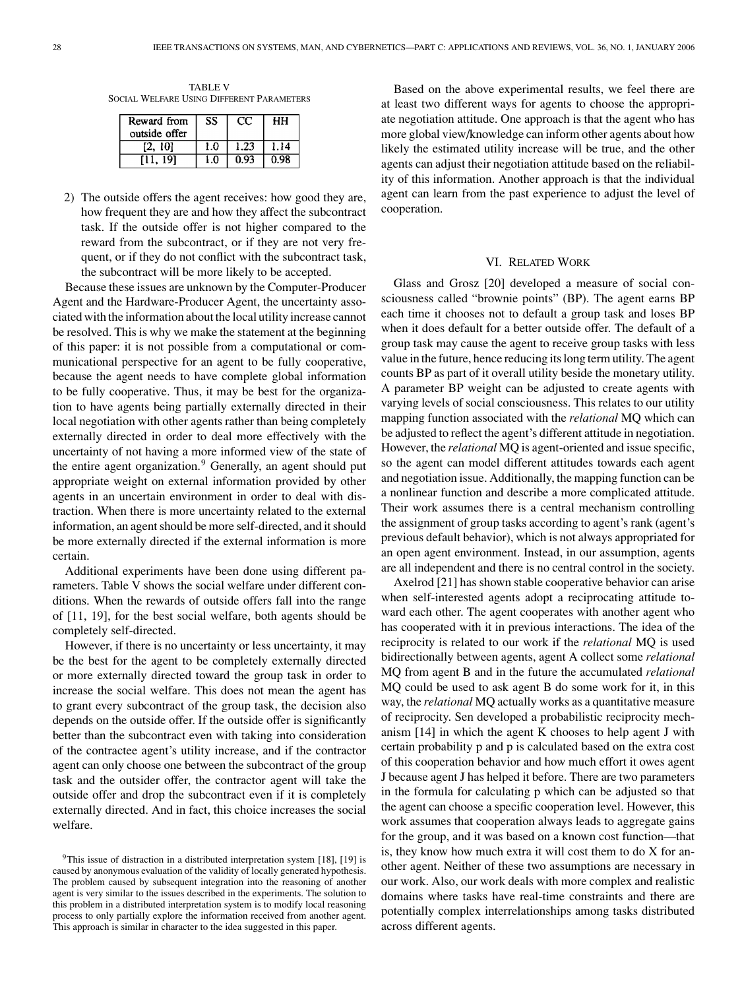TABLE V SOCIAL WELFARE USING DIFFERENT PARAMETERS

| Reward from<br>outside offer | SS  | ŧΥ   | HН   |
|------------------------------|-----|------|------|
| [2, 10]                      | 1.0 | 1.23 | 1.14 |
| [11. 191                     | 1.0 | 0.93 | 0.98 |

2) The outside offers the agent receives: how good they are, how frequent they are and how they affect the subcontract task. If the outside offer is not higher compared to the reward from the subcontract, or if they are not very frequent, or if they do not conflict with the subcontract task, the subcontract will be more likely to be accepted.

Because these issues are unknown by the Computer-Producer Agent and the Hardware-Producer Agent, the uncertainty associated with the information about the local utility increase cannot be resolved. This is why we make the statement at the beginning of this paper: it is not possible from a computational or communicational perspective for an agent to be fully cooperative, because the agent needs to have complete global information to be fully cooperative. Thus, it may be best for the organization to have agents being partially externally directed in their local negotiation with other agents rather than being completely externally directed in order to deal more effectively with the uncertainty of not having a more informed view of the state of the entire agent organization.<sup>9</sup> Generally, an agent should put appropriate weight on external information provided by other agents in an uncertain environment in order to deal with distraction. When there is more uncertainty related to the external information, an agent should be more self-directed, and it should be more externally directed if the external information is more certain.

Additional experiments have been done using different parameters. Table V shows the social welfare under different conditions. When the rewards of outside offers fall into the range of [11, 19], for the best social welfare, both agents should be completely self-directed.

However, if there is no uncertainty or less uncertainty, it may be the best for the agent to be completely externally directed or more externally directed toward the group task in order to increase the social welfare. This does not mean the agent has to grant every subcontract of the group task, the decision also depends on the outside offer. If the outside offer is significantly better than the subcontract even with taking into consideration of the contractee agent's utility increase, and if the contractor agent can only choose one between the subcontract of the group task and the outsider offer, the contractor agent will take the outside offer and drop the subcontract even if it is completely externally directed. And in fact, this choice increases the social welfare.

Based on the above experimental results, we feel there are at least two different ways for agents to choose the appropriate negotiation attitude. One approach is that the agent who has more global view/knowledge can inform other agents about how likely the estimated utility increase will be true, and the other agents can adjust their negotiation attitude based on the reliability of this information. Another approach is that the individual agent can learn from the past experience to adjust the level of cooperation.

#### VI. RELATED WORK

Glass and Grosz [20] developed a measure of social consciousness called "brownie points" (BP). The agent earns BP each time it chooses not to default a group task and loses BP when it does default for a better outside offer. The default of a group task may cause the agent to receive group tasks with less value in the future, hence reducing its long term utility. The agent counts BP as part of it overall utility beside the monetary utility. A parameter BP weight can be adjusted to create agents with varying levels of social consciousness. This relates to our utility mapping function associated with the *relational* MQ which can be adjusted to reflect the agent's different attitude in negotiation. However, the *relational* MQ is agent-oriented and issue specific, so the agent can model different attitudes towards each agent and negotiation issue. Additionally, the mapping function can be a nonlinear function and describe a more complicated attitude. Their work assumes there is a central mechanism controlling the assignment of group tasks according to agent's rank (agent's previous default behavior), which is not always appropriated for an open agent environment. Instead, in our assumption, agents are all independent and there is no central control in the society.

Axelrod [21] has shown stable cooperative behavior can arise when self-interested agents adopt a reciprocating attitude toward each other. The agent cooperates with another agent who has cooperated with it in previous interactions. The idea of the reciprocity is related to our work if the *relational* MQ is used bidirectionally between agents, agent A collect some *relational* MQ from agent B and in the future the accumulated *relational* MQ could be used to ask agent B do some work for it, in this way, the *relational* MQ actually works as a quantitative measure of reciprocity. Sen developed a probabilistic reciprocity mechanism [14] in which the agent K chooses to help agent J with certain probability p and p is calculated based on the extra cost of this cooperation behavior and how much effort it owes agent J because agent J has helped it before. There are two parameters in the formula for calculating p which can be adjusted so that the agent can choose a specific cooperation level. However, this work assumes that cooperation always leads to aggregate gains for the group, and it was based on a known cost function—that is, they know how much extra it will cost them to do X for another agent. Neither of these two assumptions are necessary in our work. Also, our work deals with more complex and realistic domains where tasks have real-time constraints and there are potentially complex interrelationships among tasks distributed across different agents.

 $9$ This issue of distraction in a distributed interpretation system [18], [19] is caused by anonymous evaluation of the validity of locally generated hypothesis. The problem caused by subsequent integration into the reasoning of another agent is very similar to the issues described in the experiments. The solution to this problem in a distributed interpretation system is to modify local reasoning process to only partially explore the information received from another agent. This approach is similar in character to the idea suggested in this paper.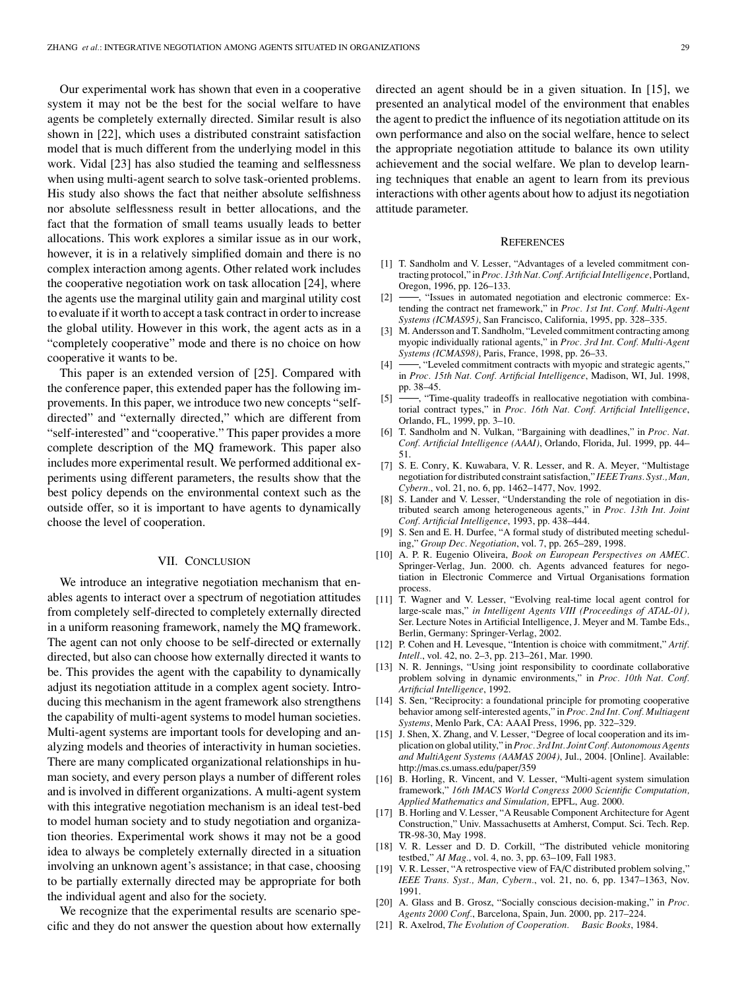Our experimental work has shown that even in a cooperative system it may not be the best for the social welfare to have agents be completely externally directed. Similar result is also shown in [22], which uses a distributed constraint satisfaction model that is much different from the underlying model in this work. Vidal [23] has also studied the teaming and selflessness when using multi-agent search to solve task-oriented problems. His study also shows the fact that neither absolute selfishness nor absolute selflessness result in better allocations, and the fact that the formation of small teams usually leads to better allocations. This work explores a similar issue as in our work, however, it is in a relatively simplified domain and there is no complex interaction among agents. Other related work includes the cooperative negotiation work on task allocation [24], where the agents use the marginal utility gain and marginal utility cost to evaluate if it worth to accept a task contract in order to increase the global utility. However in this work, the agent acts as in a "completely cooperative" mode and there is no choice on how cooperative it wants to be.

This paper is an extended version of [25]. Compared with the conference paper, this extended paper has the following improvements. In this paper, we introduce two new concepts "selfdirected" and "externally directed," which are different from "self-interested" and "cooperative." This paper provides a more complete description of the MQ framework. This paper also includes more experimental result. We performed additional experiments using different parameters, the results show that the best policy depends on the environmental context such as the outside offer, so it is important to have agents to dynamically choose the level of cooperation.

#### VII. CONCLUSION

We introduce an integrative negotiation mechanism that enables agents to interact over a spectrum of negotiation attitudes from completely self-directed to completely externally directed in a uniform reasoning framework, namely the MQ framework. The agent can not only choose to be self-directed or externally directed, but also can choose how externally directed it wants to be. This provides the agent with the capability to dynamically adjust its negotiation attitude in a complex agent society. Introducing this mechanism in the agent framework also strengthens the capability of multi-agent systems to model human societies. Multi-agent systems are important tools for developing and analyzing models and theories of interactivity in human societies. There are many complicated organizational relationships in human society, and every person plays a number of different roles and is involved in different organizations. A multi-agent system with this integrative negotiation mechanism is an ideal test-bed to model human society and to study negotiation and organization theories. Experimental work shows it may not be a good idea to always be completely externally directed in a situation involving an unknown agent's assistance; in that case, choosing to be partially externally directed may be appropriate for both the individual agent and also for the society.

We recognize that the experimental results are scenario specific and they do not answer the question about how externally directed an agent should be in a given situation. In [15], we presented an analytical model of the environment that enables the agent to predict the influence of its negotiation attitude on its own performance and also on the social welfare, hence to select the appropriate negotiation attitude to balance its own utility achievement and the social welfare. We plan to develop learning techniques that enable an agent to learn from its previous interactions with other agents about how to adjust its negotiation attitude parameter.

#### **REFERENCES**

- [1] T. Sandholm and V. Lesser, "Advantages of a leveled commitment contracting protocol," in *Proc. 13th Nat. Conf. Artificial Intelligence*, Portland, Oregon, 1996, pp. 126–133.
- [2]  $\rightarrow$  "Issues in automated negotiation and electronic commerce: Extending the contract net framework," in *Proc. 1st Int. Conf. Multi-Agent Systems (ICMAS95)*, San Francisco, California, 1995, pp. 328–335.
- [3] M. Andersson and T. Sandholm, "Leveled commitment contracting among myopic individually rational agents," in *Proc. 3rd Int. Conf. Multi-Agent Systems (ICMAS98)*, Paris, France, 1998, pp. 26–33.
- [4]  $\rightarrow$ , "Leveled commitment contracts with myopic and strategic agents," in *Proc. 15th Nat. Conf. Artificial Intelligence*, Madison, WI, Jul. 1998, pp. 38–45.
- [5]  $\rightarrow$  "Time-quality tradeoffs in reallocative negotiation with combinatorial contract types," in *Proc. 16th Nat. Conf. Artificial Intelligence*, Orlando, FL, 1999, pp. 3–10.
- [6] T. Sandholm and N. Vulkan, "Bargaining with deadlines," in *Proc. Nat. Conf. Artificial Intelligence (AAAI)*, Orlando, Florida, Jul. 1999, pp. 44– 51.
- [7] S. E. Conry, K. Kuwabara, V. R. Lesser, and R. A. Meyer, "Multistage negotiation for distributed constraint satisfaction," *IEEE Trans. Syst., Man, Cybern.*, vol. 21, no. 6, pp. 1462–1477, Nov. 1992.
- [8] S. Lander and V. Lesser, "Understanding the role of negotiation in distributed search among heterogeneous agents," in *Proc. 13th Int. Joint Conf. Artificial Intelligence*, 1993, pp. 438–444.
- [9] S. Sen and E. H. Durfee, "A formal study of distributed meeting scheduling," *Group Dec. Negotiation*, vol. 7, pp. 265–289, 1998.
- [10] A. P. R. Eugenio Oliveira, *Book on European Perspectives on AMEC.* Springer-Verlag, Jun. 2000. ch. Agents advanced features for negotiation in Electronic Commerce and Virtual Organisations formation process.
- [11] T. Wagner and V. Lesser, "Evolving real-time local agent control for large-scale mas," *in Intelligent Agents VIII (Proceedings of ATAL-01),* Ser. Lecture Notes in Artificial Intelligence, J. Meyer and M. Tambe Eds., Berlin, Germany: Springer-Verlag, 2002.
- [12] P. Cohen and H. Levesque, "Intention is choice with commitment," *Artif. Intell.*, vol. 42, no. 2–3, pp. 213–261, Mar. 1990.
- [13] N. R. Jennings, "Using joint responsibility to coordinate collaborative problem solving in dynamic environments," in *Proc. 10th Nat. Conf. Artificial Intelligence*, 1992.
- [14] S. Sen, "Reciprocity: a foundational principle for promoting cooperative behavior among self-interested agents," in *Proc. 2nd Int. Conf. Multiagent Systems*, Menlo Park, CA: AAAI Press, 1996, pp. 322–329.
- [15] J. Shen, X. Zhang, and V. Lesser, "Degree of local cooperation and its implication on global utility," in *Proc. 3rd Int. Joint Conf. Autonomous Agents and MultiAgent Systems (AAMAS 2004)*, Jul., 2004. [Online]. Available: http://mas.cs.umass.edu/paper/359
- [16] B. Horling, R. Vincent, and V. Lesser, "Multi-agent system simulation framework," *16th IMACS World Congress 2000 Scientific Computation, Applied Mathematics and Simulation,* EPFL, Aug. 2000.
- [17] B. Horling and V. Lesser, "A Reusable Component Architecture for Agent Construction," Univ. Massachusetts at Amherst, Comput. Sci. Tech. Rep. TR-98-30, May 1998.
- [18] V. R. Lesser and D. D. Corkill, "The distributed vehicle monitoring testbed," *AI Mag.*, vol. 4, no. 3, pp. 63–109, Fall 1983.
- [19] V. R. Lesser, "A retrospective view of FA/C distributed problem solving," *IEEE Trans. Syst., Man, Cybern.*, vol. 21, no. 6, pp. 1347–1363, Nov. 1991.
- [20] A. Glass and B. Grosz, "Socially conscious decision-making," in *Proc. Agents 2000 Conf.*, Barcelona, Spain, Jun. 2000, pp. 217–224.
- [21] R. Axelrod, *The Evolution of Cooperation. Basic Books*, 1984.